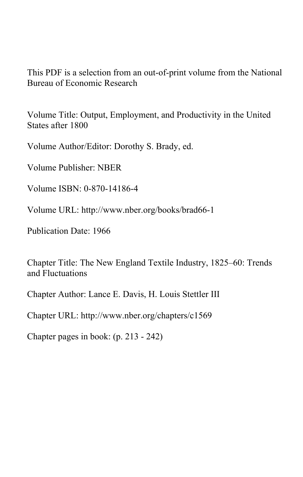This PDF is a selection from an out-of-print volume from the National Bureau of Economic Research

Volume Title: Output, Employment, and Productivity in the United States after 1800

Volume Author/Editor: Dorothy S. Brady, ed.

Volume Publisher: NBER

Volume ISBN: 0-870-14186-4

Volume URL: http://www.nber.org/books/brad66-1

Publication Date: 1966

Chapter Title: The New England Textile Industry, 1825–60: Trends and Fluctuations

Chapter Author: Lance E. Davis, H. Louis Stettler III

Chapter URL: http://www.nber.org/chapters/c1569

Chapter pages in book: (p. 213 - 242)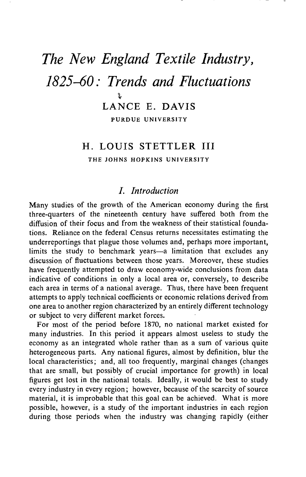# The New England Textile Industry, 1825—60: Trends and Fluctuations LANCE E. DAVIS PURDUE UNIVERSITY

# H. LOUIS STETTLER III

THE JOHNS HOPKINS UNIVERSITY

# I. Introduction

Many studies of the growth of the American economy during the first three-quarters of the nineteenth century have suffered both from the diffusion of their focus and from the weakness of their statistical foundations. Reliance on the federal Census returns necessitates estimating the underreportings that plague those volumes and, perhaps more important, limits the study to benchmark years—a limitation that excludes any discussion of fluctuations between those years. Moreover, these studies have frequently attempted to draw economy-wide conclusions from data indicative of conditions in only a local area or, conversely, to describe each area in terms of a national average. Thus, there have been frequent attempts to apply technical coefficients or economic relations derived from one area to another region characterized by an entirely different technology or subject to very different market forces.

For most of the period before 1870, no national market existed for many industries. In this period it appears almost useless to study the economy as an integrated whole rather than as a sum of various quite heterogeneous parts. Any national figures, almost by definition, blur the local characteristics; and, all too frequently, marginal changes (changes that are small, but possibly of crucial importance for growth) in local For most of the period before 1870, no national market existed for<br>many industries. In this period it appears almost useless to study the<br>economy as an integrated whole rather than as a sum of various quite<br>heterogeneous p every industry in every region; however, because of the scarcity of source material, it is improbable that this goal can be achieved. What is more possible, however, is a study of the important industries in each region during those periods when the industry was changing rapidly (either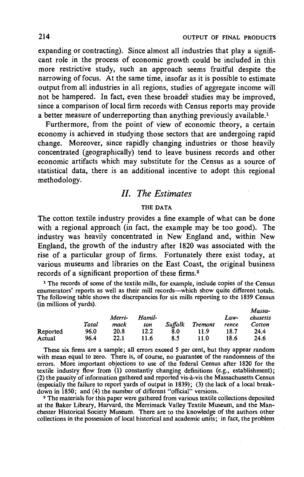expanding or contracting). Since almost all industries that play a significant role in the process of economic growth could be included in this more restrictive study, such an approach seems fruitful despite the narrowing of focus. At the same time, insofar as it is possible to estimate output from all industries in all regions, studies of aggregate income will not be hampered. In fact, even these broader studies may be improved, since a comparison of local firm records with Census reports may provide a better measure of underreporting than anything previously available.<sup>1</sup>

Furthermore, from the point of view of economic theory, a certain economy is achieved in studying those sectors that are undergoing rapid change. Moreover, since rapidly changing industries or those heavily concentrated (geographically) tend to leave business records and other economic artifacts which may substitute for the Census as a source of statistical data, there is an additional incentive to adopt this regional methodology.

# II. The Estimates

## THE DATA

The cotton textile industry provides a fine example of what can be done with a regional approach (in fact, the example may be too good). The industry was heavily concentrated in New England and, within New England, the growth of the industry after 1820 was associated with the rise of a particular group of firms. Fortunately there exist today, at various museums and libraries on the East Coast, the original business records of a significant proportion of these firms.2

<sup>1</sup> The records of some of the textile mills, for example, include copies of the Census enumerators' reports as well as their mill records—which show quite different totals. The following table shows the discrepancies for six mills reporting to the 1859 Census (in millions of yards). Massa-

|          |       | Merri- | Hamil- |                |                | Law-  | Massa-<br>chusetts |
|----------|-------|--------|--------|----------------|----------------|-------|--------------------|
|          | Total | mack   | ton    | <b>Suffolk</b> | <b>Tremont</b> | rence | Cotton             |
| Reported | 96.0  | 20.8   | 12.2   | 8.0            | 11.9           | 18.7  | 24.4               |
| Actual   | 96.4  | 22.1   | 11.6   | 8.5            | 11.0           | 18.6  | 24.6               |

with mean equal to zero. There is, of course, no guarantee of the randomness of the errors. More important objections to use of the federal Census after 1820 for the textile industry flow from (1) constantly changing definitions (e.g., establishment); (2) the paucity of information gathered and reported vis-à-vis the Massachusetts Census (especially the failure to report yards of output in 1839); (3) the lack of a local breakdown in 1850; and (4) the number of different "official" versions.

<sup>2</sup> The materials for this paper were gathered from various textile collections deposited at the Baker Library, Harvard, the Merrimack Valley Textile Museum, and the Manchester Historical Society Museum. There are to the knowledge of the authors other collections in the pOssession of local historical and academic units; in fact, the problem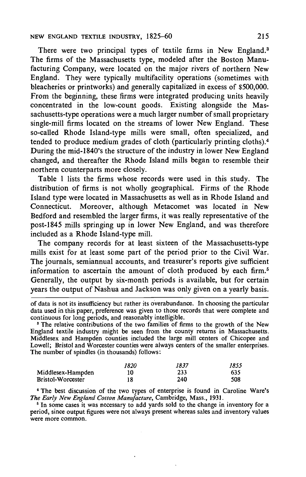## NEW ENGLAND TEXTILE INDUSTRY, 1825-60 215

There were two principal types of textile firms in New England.<sup>3</sup> The firms of the Massachusetts type, modeled after the Boston Manufacturing Company, were located on the major rivers of northern New England. They were typically multifacility operations (sometimes with bleacheries or printworks) and generally capitalized in excess of \$500,000. From the beginning, these firms were integrated producing units heavily concentrated in the low-count goods. Existing alongside the Massachusetts-type operations were a much larger number of small proprietary single-mill firms located on the streams of lower New England. These so-called Rhode Island-type mills were small, often specialized, and tended to produce medium grades of cloth (particularly printing cloths).4 During the mid- 1840's the structure of the industry in lower New England changed, and thereafter the Rhode Island mills began to resemble their northern counterparts more closely.

Table 1 lists the firms whose records were used in this study. The distribution of firms is not wholly geographical. Firms of the Rhode Island type were located in Massachusetts as well as in Rhode Island and Connecticut. Moreover, although Metacomet was located in New Bedford and resembled the larger firms, it was really representative of the post-1845 mills springing up in lower New England, and was therefore included as a Rhode Island-type mill.

The company records for at least sixteen of the Massachusetts-type mills exist for at least some part of the period prior to the Civil War. The journals, semiannual accounts, and treasurer's reports give sufficient information to ascertain the amount of cloth produced by each firm.<sup>5</sup> Generally, the output by six-month periods is available, but for certain years the output of Nashua and Jackson was only given on a yearly basis.

of data is not its insufficiency but rather its overabundance. In choosing the particular data used in this paper, preference was given to those records that were complete and continuous for long periods, and reasonably intelligible.

<sup>8</sup> The relative contributions of the two families of firms to the growth of the New England textile industry might be seen from the county returns in Massachusetts. Middlesex and Hampden counties included the large mill centers of Chicopee and Lowell; Bristol and Worcester counties were always centers of the smaller enterprises. The number of spindles (in thousands) follows:

|                   | 1820 | 1837 | 1855 |
|-------------------|------|------|------|
| Middlesex-Hampden | 10   | 233  | 635  |
| Bristol-Worcester | 18   | 240  | 508  |

The best discussion of the two types of enterprise is found in Caroline Ware's The Early New England Cotton Manufacture, Cambridge, Mass., 1931.

<sup>5</sup> In some cases it was necessary to add yards sold to the change in inventory for a period, since output figures were not always present whereas sales and inventory values were more common.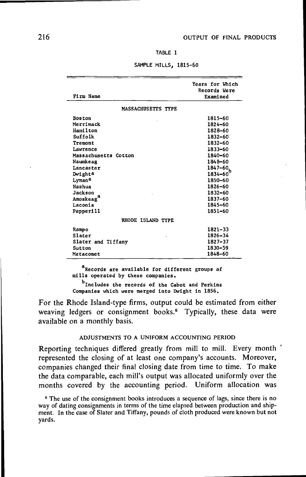TABLE <sup>1</sup>

|                      | Years for Which |
|----------------------|-----------------|
|                      | Records Were    |
| Firm Name            | Examined        |
|                      |                 |
| MASSACHUSETTS TYPE   |                 |
| <b>Boston</b>        | 1815-60         |
| Merrimack            | 1824-60         |
| Hamilton             | 1828-60         |
| Suffolk              | 1832-60         |
| Tremont              | 1832-60         |
| Lawrence             | 1833-60         |
| Massachusetts Cotton | 1840-60         |
| Naumkeag             | 1848-60         |
| Lancaster            | 1847–60.        |
| Dwighta              | 1834-60         |
| Lyman <sup>a</sup>   | 1850-60         |
| Nashua               | 1826-60         |
| Jackson              | 1832-60         |
| Amoskeag             | 1837-60         |
| Laconia              | 1845-60         |
| Pepperill            | 1851-60         |
| RHODE ISLAND TYPE    |                 |
| Rampo                | $1821 - 33$     |
| <b>Slater</b>        | 1826-34         |
| Slater and Tiffany   | 1827-37         |
| Sutton               | 1830-59         |
| Metacomet            | 1848-60         |

SAMPLE MILLS, 1815-60

 $a$ Records are available for different groups of mills operated by these companies.

b<sub>Includes the records of the Cabot and Perkins</sub> Companies which were merged into Dwight in 1856.

For the Rhode Island-type firms, output could be estimated from either weaving ledgers or consignment books.<sup>6</sup> Typically, these data were available on a monthly basis.

## ADJUSTMENTS TO A UNIFORM ACCOUNTING PERIOD

Reporting techniques differed greatly from mill to mill. Every month represented the closing of at least one company's accounts. Moreover, companies changed their final closing date from time to time. To make the data comparable, each mill's output was allocated uniformly over the months covered by the accounting period. Uniform allocation was

<sup>6</sup> The use of the consignment books introduces a sequence of lags, since there is no way of dating consignments in terms of the time elapsed between production and shipment. In the case of Slater and Tiffany, pounds of cloth produced were known but not yards.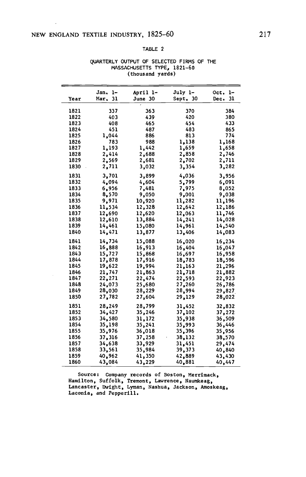## NEW ENGLAND TEXTILE INDUSTRY, 1825-60 217

l,

#### TABLE 2

|      | Jan. 1-    | April 1- | July 1-  | Oct. 1-    |
|------|------------|----------|----------|------------|
| Year | Mar.<br>31 | June 30  | Sept. 30 | 31<br>Dec. |
| 1821 | 337        | 363      | 370      | 384        |
| 1822 | 403        | 439      | 420      | 380        |
| 1823 | 408        | 465      | 454      | 433        |
| 1824 | 451        | 487      | 483      | 865        |
| 1825 | 1,044      | 886      | 813      | 774        |
| 1826 | 783        | 988      | 1,138    | 1,168      |
| 1827 | 1,193      | 1,442    | 1,659    | 1,658      |
| 1828 | 2,414      | 2,688    | 2,858    | 2,746      |
| 1829 | 2,569      | 2,681    | 2,702    | 2,711      |
| 1830 | 2,711      | 3,032    | 3,354    | 3,282      |
| 1831 | 3,701      | 3,899    | 4,036    | 3,956      |
| 1832 | 4.094      | 4,604    | 5,799    | 6,091      |
| 1833 | 6,956      | 7,481    | 7,975    | 8,052      |
| 1834 | 8,570      | 9,050    | 9,001    | 9,038      |
| 1835 | 9,971      | 10,920   | 11,282   | 11,196     |
| 1836 | 11,534     | 12,328   | 12,642   | 12,186     |
| 1837 | 12,690     | 12,620   | 12,063   | 11,746     |
| 1838 | 12,610     | 13,884   | 14,241   | 14,028     |
| 1839 | 14,461     | 15,080   | 14,961   | 14,540     |
| 1840 | 14,471     | 13,877   | 13,406   | 14,083     |
| 1841 | 14,734     | 15,088   | 16,020   | 16,234     |
| 1842 | 16,888     | 16,913   | 16,404   | 16,047     |
| 1843 | 15,727     | 15,868   | 16,697   | 16,958     |
| 1844 | 17,878     | 17,916   | 18,783   | 18,596     |
| 1845 | 19,622     | 19,994   | 21,163   | 21,296     |
| 1846 | 21,747     | 21,863   | 21,718   | 21,882     |
| 1847 | 22,271     | 22,474   | 22,593   | 22.923     |
| 1848 | 24,073     | 25,680   | 27,260   | 26,786     |
| 1849 | 28,030     | 28,229   | 28,994   | 29,827     |
| 1850 | 27,782     | 27,604   | 29,129   | 28,022     |
| 1851 | 28,249     | 28,799   | 31,452   | 32,832     |
| 1852 | 34,427     | 35,246   | 37,102   | 37,272     |
| 1853 | 34,580     | 31,172   | 35,938   | 36,509     |
| 1854 | 35,198     | 35,241   | 35,993   | 36,446     |
| 1855 | 35,976     | 36,018   | 35,396   | 35,956     |
| 1856 | 37,316     | 37,258   | 38,132   | 38,570     |
| 1857 | 34,638     | 33,929   | 31,451   | 29,474     |
| 1858 | 33,561     | 35,984   | 39,373   | 40,840     |
| 1859 | 40,962     | 41,350   | 42,889   | 43,430     |
| 1860 | 43,084     | 43,229   | 40,881   | 40,447     |

#### QUARTERLY OUTPUT OF SELECTED FIRMS OF THE MASSACHUSETTS TYPE, 1821—60 (thousand yards)

Source: Company records of Boston, Merrimack, Hamilton, Suffolk, Tremont, Lawrence, Naumkeag, Lancaster, Dwight, Lyman, Nashua, Jackson, Amoskeag, Laconia, and Pepperill.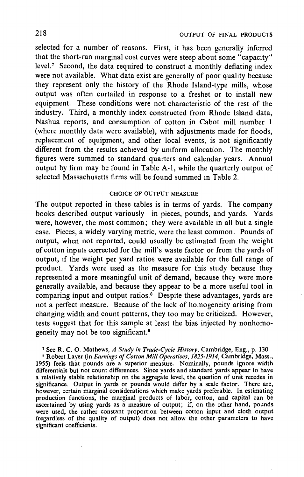selected for a number of reasons. First, it has been generally inferred that the short-run marginal cost curves were steep about some "capacity" level.7 Second, the data required to construct a monthly deflating index were not available. What data exist are generally of poor quality because they represent only the history of the Rhode Island-type mills, whose output was often curtailed in response to a freshet or to install new equipment. These conditions were not, characteristic of the rest of the industry. Third, a monthly index constructed from Rhode Island data, Nashua reports, and consumption of cotton in Cabot mill number 1 (where monthly data were available), with adjustments made for floods, replacement of equipment, and other local events, is not significantly different from the results achieved by uniform allocation. The monthly figures were summed to standard quarters and calendar years. Annual output by firm may be found in Table A-l, while the quarterly output of selected Massachusetts firms will be found summed in Table 2.

## CHOICE OF OUTPUT MEASURE

The output reported in these tables is in terms of yards. The company books described output variously—in pieces, pounds, and yards. Yards were, however, the most common; they were available in all but a single case. Pieces, a widely varying metric, were the least common. Pounds of output, when not reported, could usually be estimated from the weight of cotton inputs corrected for the mill's waste factor or from the yards of output, if the weight per yard ratios were available for the full range of product. Yards were used as the measure for this study because they represented a more meaningful unit of demand, because they were more generally available, and because they appear to be a more useful tool in comparing input and output ratios.<sup>8</sup> Despite these advantages, yards are not a perfect measure. Because of the lack of homogeneity arising from changing width and count patterns, they too may be criticized. However, tests suggest that for this sample at least the bias injected by nonhomogeneity may not be too significant.<sup>9</sup>

<sup>7</sup> See R. C. O. Mathews, A Study in Trade-Cycle History, Cambridge, Eng., p. 130.

<sup>8</sup> Robert Layer (in *Earnings of Cotton Mill Operatives, 1825-1914*, Cambridge, Mass., 1955) feels that pounds are a superior measure. Nominally, pounds ignore width differentials but not count differences. Since yards and standard yards appear to have a relatively stable relationship on the aggregate level, the question of unit recedes in significance. Output in yards or pounds would differ by a scale factor. There are, however, certain marginal considerations which make yards preferable. In estimating production functions, the marginal products of labor, cotton, and capital can be ascertained by using yards as a measure of output; if, on the other hand, pounds were used, the rather constant proportion between cotton input and cloth output (regardless of the quality of output) does not allow the other parameters to have significant coefficients.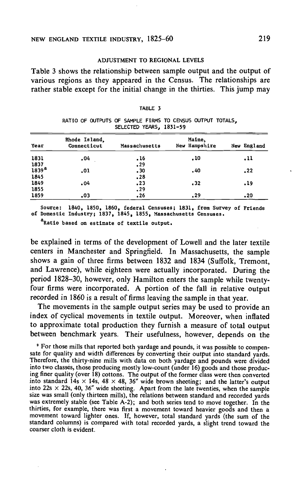#### ADJUSTMENT TO REGIONAL LEVELS

Table 3 shows the relationship between sample output and the output of various regions as they appeared in the Census. The relationships are rather stable except for the initial change in the thirties. This jump may

| Year                             | Rhode Island,<br>Connecticut | Massachusetts | Maine,<br>New Hampshire | New England |
|----------------------------------|------------------------------|---------------|-------------------------|-------------|
| 1831                             | .04                          | , 16          | .10                     | $\cdot$ 11  |
|                                  |                              | .29           |                         |             |
| $\frac{1837}{1839}$ <sup>a</sup> | .01                          | - 30          | . 40                    | .22         |
| 1845                             |                              | , 28          |                         |             |
| 1849                             | .04                          | .23           | .32                     | .19         |
| 1855                             |                              | .29           |                         |             |
| 1859                             | .03                          | .26           | .29                     | .20         |

| TABLE 3 |  |  |
|---------|--|--|
|         |  |  |

RATIO OF OUTPUTS OF SAMPLE FIRMS TO CENSUS OUTPUT TOTALS, SELECTED YEARS, 1831—59

Source: 1840, 1850, 1860, federal Censuses; 1831, from Survey of Friends of Domestic Industry; 1837, 1845, 1855, Massachusetts Censuses.

a<br>Ratio based on estimate of textile output.

be explained in terms of the development of Lowell and the later textile centers in Manchester and Springfield. In Massachusetts, the sample shows a gain of three firms between 1832 and 1834 (Suffolk, Tremont, and Lawrence), while eighteen were actually incorporated. During the period 1828—30, however, only Hamilton enters the sample while twentyfour firms were incorporated. A portion of the fall in relative output recorded in 1860 is a result of firms leaving the sample in that year.

The movements in the sample output series may be used to provide an index of cyclical movements in textile output. Moreover, when inflated to approximate total production they furnish a measure of total output between benchmark years. Their usefulness, however, depends on the

° For those mills that reported both yardage and pounds, it was possible to compensate for quality and width differences by converting their output into standard vards. Therefore, the thirty-nine mills with data on both yardage and pounds were divided into two classes, those producing mostly low-count (under 16) goods and those producing finer quality (over 18) cottons. The output of the former class were then converted into standard 14s  $\times$  14s, 48  $\times$  48, 36" wide brown sheeting; and the latter's output into 22s  $\times$  22s, 40, 36" wide sheeting. Apart from the late twenties, when the sample size was small (only thirteen mills), the relations between standard and recorded yards was extremely stable (see Table A-2); and both series tend to move together. In the thirties, for example, there was first a movement toward heavier goods and then a movement toward lighter ones. If, however, total standard yards (the sum of the standard columns) is compared with total recorded yards, a slight trend toward the coarser cloth is evident.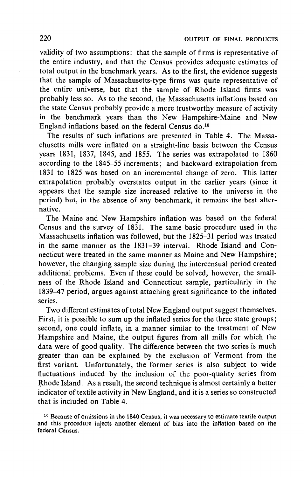validity of two assumptions: that the sample of firms is representative of the entire industry, and that the Census provides adequate estimates of total output in the benchmark years. As to the first, the evidence suggests that the sample of Massachusetts-type firms was quite representative of the entire universe, but that the sample of Rhode Island firms was probably less so. As to the second, the Massachusetts inflations based on the state Census probably provide a more trustworthy measure of activity in the benchmark years than the New Hampshire-Maine and New England inflations based on the federal Census do.<sup>10</sup>

The results of such inflations are presented in Table 4. The Massachusetts mills were inflated on a straight-line basis between the Census years 1831, 1837, 1845, and 1855. The series was extrapolated to 1860 according to the 1845—55 increments; and backward extrapolation from 1831 to 1825 was based on an incremental change of zero. This latter extrapolation probably overstates output in the earlier years (since it appears that the sample size increased relative to the universe in the period) but, in the absence of any benchmark, it remains the best alternative.

The Maine and New Hampshire inflation was based on the federal Census and the survey of 1831. The same basic procedure used in the Massachusetts inflation was followed, but the 1825—31 period was treated in the same manner as the 1831—39 interval. Rhode Island and Connecticut were treated in the same manner as Maine and New Hampshire; however, the changing sample size during the intercensual period created additional problems. Even if these could be solved, however, the smallness of the Rhode Island and Connecticut sample, particularly in the 1839—47 period, argues against attaching great significance to the inflated series.

Two different estimates of total New England output suggest themselves. First, it is possible to sum up the inflated series for the three state groups; second, one could inflate, in a manner similar to the treatment of New Hampshire and Maine, the output figures from all mills for which the data were of good quality. The difference between the two series is much greater than can be explained by the exclusion of Vermont from the first variant. Unfortunately, the former series is also subject to wide fluctuations induced by the inclusion of the poor-quality series from Rhode Island. As a result, the second technique is almost certainly a better indicator of textile activity in New England, and it is a series so constructed that is included on Table 4.

<sup>&</sup>lt;sup>10</sup> Because of omissions in the 1840 Census, it was necessary to estimate textile output and this procedure injects another element of bias into the inflation based on the federal Census.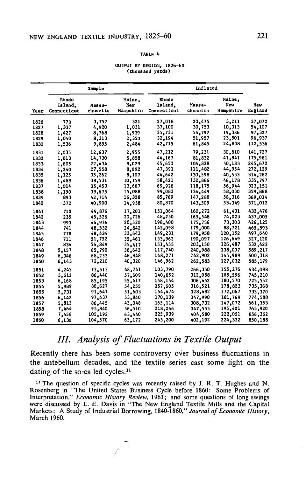#### TABLE 4

#### OUTPUT BY REGION, 1826-60 (thousand yards)

|      | Sample                          |                    |                            |                                 | Inflated           |                            |                |
|------|---------------------------------|--------------------|----------------------------|---------------------------------|--------------------|----------------------------|----------------|
| Year | Rhode<br>Island.<br>Connecticut | Massa-<br>chusetts | Maine,<br>New<br>Hampshire | Rhode<br>Island.<br>Connecticut | Massa-<br>chusetts | Maine,<br>New<br>Hampshire | New<br>England |
| 1826 | 770                             | 3,757              | 321                        | 27,018                          | 23,475             | 3,211                      | 37,072         |
| 1827 | 1,337                           | 4,920              | 1,031                      | 37,100                          | 30,753             | 10,313                     | 54,107         |
| 1828 | 1,427                           | 8,768              | 1,939                      | 35,731                          | 54,797             | 19,386                     | 97,327         |
| 1829 | 1,050                           | 8,313              | 2,350                      | 32,194                          | 51,957             | 23,501                     | 96,937         |
| 1830 | 1,536                           | 9,895              | 2,484                      | 42,715                          | 61,845             | 24,838                     | 112,536        |
| 1831 | 2,035                           | 12.637             | 2,955                      | 47,212                          | 79,231             | 30,810                     | 141,727        |
| 1832 | 1,813                           | 14,730             | 5,858                      | 44,167                          | 81.832             | 41,841                     | 175,961        |
| 1833 | 1,605                           | 22,434             | 8,029                      | 45,650                          | 106,828            | 50,183                     | 245,672        |
| 1834 | 1,240                           | 27,558             | 8,092                      | 47,391                          | 111,482            | 44.954                     | 272,129        |
| 1835 | 1,125                           | 35,262             | 8,107                      | 44,642                          | 130,598            | 40,533                     | 314,262        |
| 1836 | 1,489                           | 38,531             | 10,159                     | 58,421                          | 132,866            | 46,178                     | 335,797        |
| 1837 | 1,014                           | 35,453             | 13,667                     | 69,926                          | 118,175            | 56,944                     | 323,151        |
| 1838 | 1,190                           | 39,675             | 15,088                     | 99,083                          | 134,449            | 58,030                     | 359,868        |
| 1839 | 893                             | 42,714             | 16,328                     | 85,769                          | 147,288            | 58,316                     | 369,014        |
| 1840 | 372                             | 40,900             | 14,938                     | 80,870                          | 143,509            | 53.349                     | 371,012        |
| 1841 | 710                             | 44,876             | 17,201                     | 151,064                         | 160,272            | 61,431                     | 432,476        |
| 1842 | 235                             | 45,526             | 20,726                     | 48,750                          | 165,548            | 74,023                     | 437,005        |
| 1843 | 993                             | 44.936             | 20,520                     | 198,400                         | 175,756            | 73,303                     | 426,125        |
| 1844 | 741                             | 48,332             | 24,842                     | 145,098                         | 179,000            | 88,721                     | 465,593        |
| 1845 | 778                             | 48,434             | 33,643                     | 149,231                         | 179,958            | 120,152                    | 497,640        |
| 1846 | 711                             | 51,752             | 35,461                     | 133,962                         | 190,097            | 126,649                    | 527,120        |
| 1847 | 834                             | 54,849             | 35,417                     | 151,455                         | 203,150            | 126,487                    | 532,422        |
| 1848 | 5,157                           | 65,790             | 38,642                     | 117,740                         | 240,988            | 138,007                    | 589,217        |
| 1849 | 6,346                           | 68,233             | 46,848                     | 148,271                         | 242,902            | 145,989                    | 600,318        |
| 1850 | 6,143                           | 72,210             | 40,320                     | 146,962                         | 262,583            | 127,032                    | 585,179        |
| 1851 | 4,245                           | 73,513             | 48.741                     | 103,790                         | 266,350            | 155,276                    | 634,098        |
| 1852 | 5,612                           | 86,440             | 57,609                     | 140,652                         | 312,058            | 185,596                    | 745,210        |
| 1853 | 6,168                           | 85,195             | 55,417                     | 158,154                         | 306,452            | 180,570                    | 725,552        |
| 1854 | 5,989                           | 88,627             | 54,255                     | 157,605                         | 316,521            | 178,823                    | 735,368        |
| 1855 | 5,731                           | 91,647             | 51,603                     | 154,474                         | 328,482            | 172,067                    | 735,370        |
| 1856 | 6,142                           | 97,437             | 53,840                     | 170,139                         | 347,990            | 181,769                    | 774,588        |
| 1857 | 5.812                           | 86,445             | 43,048                     | 165,114                         | 308,732            | 147,072                    | 661,353        |
| 1858 | 7,464                           | 93,840             | 56,510                     | 218,246                         | 347,555            | 195,401                    | 765,920        |
| 1859 | 7,456                           | 105,192            | 63,440                     | 225,939                         | 404,580            | 222,051                    | 856,362        |
| 1860 | 6,130                           | 104,570            | 63,172                     | 245,200                         | 402,192            | 224,332                    | 850,188        |

# III. Analysis of Fluctuations in Textile Output

Recently there has been some controversy over business fluctuations in the antebellum decades, and the textile series cast some light on the dating of the so-called cycles. $<sup>11</sup>$ </sup>

<sup>11</sup> The question of specific cycles was recently raised by J. R. T. Hughes and N. Rosenberg in "The United States Business Cycle before 1860: Some Problems of Interpretation," *Economic History Review*, 1963; and some questions of long swings were discussed by L. E. Davis in "The New England Textile Mills and the Capital Markets: A Study of Industrial Borrowing, 1840-1860," Journal of Economic History, March 1960.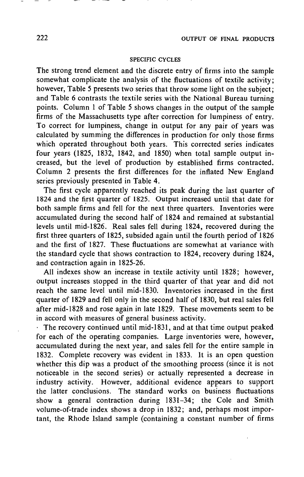## SPECIFIC CYCLES

The strong trend element and the discrete entry of firms into the sample somewhat complicate the analysis of the fluctuations of textile activity; however, Table 5 presents two series that throw some light on the subject; and Table 6 contrasts the textile series with the National Bureau turning points. Column 1 of Table 5 shows changes in the output of the sample firms of the Massachusetts type after correction for lumpiness of entry. To correct for lumpiness, change in output for any pair of years was calculated by summing the differences in production for only those firms which operated throughout both years. This corrected series indicates four years (1825, 1832, 1842, and 1850) when total sample output increased, but the level of production by established firms contracted. Column 2 presents the first differences for the inflated New England series previously presented in Table 4.

The first cycle apparently reached its peak during the last quarter of 1824 and the first quarter of 1825. Output increased until that date for both sample firms and fell for the next three quarters. Inventories were accumulated during the second half of 1824 and remained at substantial levels until mid-1826. Real sales fell during 1824, recovered during the first three quarters of 1825, subsided again until the fourth period of 1826 and the first of 1827. These fluctuations are somewhat at variance with the standard cycle that shows contraction to 1824, recovery during 1824, and contraction again in 1825-26.

All indexes show an increase in textile activity until 1828; however, output increases stopped in the third quarter of that year and did not reach the same level until mid-1830. Inventories increased in the first quarter of 1829 and fell only in the second half of 1830, but real sales fell after mid-1828 and rose again in late 1829. These movements seem to be in accord with measures of general business activity.

The recovery continued until mid-1831, and at that time output peaked for each of the operating companies. Large inventories were, however, accumulated during the next year, and sales fell for the entire sample in 1832. Complete recovery was evident in 1833. it is an open question whether this dip was a product of the smoothing process (since it is not noticeable in the second series) or actually represented a decrease in industry activity. However, additional evidence appears to support the latter conclusions. The standard works on business fluctuations show a general contraction during 1831—34; the Cole and Smith volume-of-trade index shows a drop in 1832; and, perhaps most important, the Rhode Island sample (containing a constant number of firms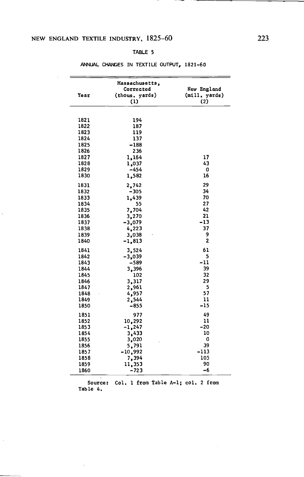## NEW ENGLAND TEXTILE INDUSTRY, 1825—60 223,

 $\ddot{\phantom{0}}$ 

 $\cdot$ 

#### TABLE 5

|      | Massachusetts,<br>Corrected | New England    |
|------|-----------------------------|----------------|
| Year | (thous, yards)              | (mill, yards)  |
|      | $\left(1\right)$            | (2)            |
|      |                             |                |
|      |                             |                |
| 1821 | 194                         |                |
| 1822 | 187                         |                |
| 1823 | 119                         |                |
| 1824 | 137                         |                |
| 1825 | $-188$                      |                |
| 1826 | 236                         |                |
| 1827 | 1,164                       | 17             |
| 1828 | 1,037                       | 43             |
| 1829 | -454                        | 0              |
| 1830 | 1,582                       | 16             |
| 1831 | 2,742                       | 29             |
| 1832 | $-305$                      | 34             |
| 1833 | 1,439                       | 70             |
| 1834 | 55                          | 27             |
| 1835 | 7,704                       | 42             |
| 1836 | 3,270                       | 21             |
| 1837 | $-3,079$                    | $-13$          |
| 1838 | 4,223                       | 37             |
| 1839 | 3,038                       | 9              |
| 1840 | $-1,813$                    | $\overline{2}$ |
| 1841 | 3,524                       | 61             |
| 1842 | $-3,039$                    | 5              |
| 1843 | -589                        | $-11$          |
| 1844 | 3,396                       | 39             |
| 1845 | 102                         | 32             |
| 1846 | 3,317                       | 29             |
| 1847 | 2,961                       | 5              |
| 1848 | 4,957                       | 57             |
| 1849 | 2,544                       | 11             |
| 1850 | $-855$                      | -15            |
|      |                             |                |
| 1851 | 977                         | 49             |
| 1852 | 10,292                      | 11             |
| 1853 | $-1,247$                    | -20            |
| 1854 | 3,433                       | 10             |
| 1855 | 3,020                       | 0              |
| 1856 | 5,791                       | 39             |
| 1857 | $-10,992$                   | $-113$         |
| 1858 | 7,394                       | 105            |
| 1859 | 11,353                      | 90             |
| 1860 | $-723$                      | -6             |

## ANNUAL CHAMES IN TEXTILE OUTPUT, 1821—60

Source: Col. 1 from Table A—i; col. 2 from Table 4.

 $\cdot$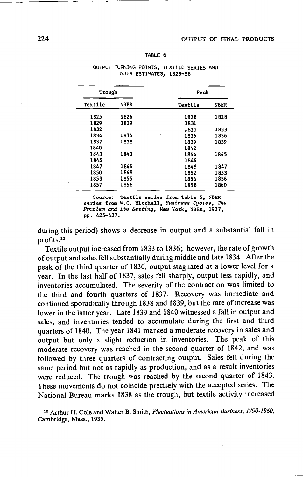| <b>TABLE</b> |  |
|--------------|--|
|--------------|--|

| Trough  |             |           | Peak        |  |
|---------|-------------|-----------|-------------|--|
| Textile | <b>NBER</b> | Textile   | <b>NBER</b> |  |
| 1825    | 1826        | 1828      | 1828        |  |
| 1829    | 1829        | 1831      |             |  |
| 1832    |             | 1833      | 1833        |  |
| 1834    | 1834        | ×<br>1836 | 1836        |  |
| 1837    | 1838        | 1839      | 1839        |  |
| 1840    |             | 1842      |             |  |
| 1843    | 1843        | 1844      | 1845        |  |
| 1845    |             | 1846      |             |  |
| 1847    | 1846        | 1848      | 1847        |  |
| 1850    | 1848        | 1852      | 1853        |  |
| 1853    | 1855        | 1856      | 1856        |  |
| 1857    | 1858        | 1858      | 1860        |  |

#### OUTPUT TURNING POINTS, TEXTILE SERIES AND NBER ESTIMATES, 1825—58

Source: Textile series from Table 5; NBER<br>series from W.C. Mitchell, Business Cycles, The<br>Problem and Its Setting, New York, NBER, 1927, pp. 425—427.

during this period) shows a decrease in output and a substantial fall in profits.<sup>12</sup>

Textile output increased from 1833 to 1836; however, the rate of growth of output and sales fell substantially during middle and late 1834. After the peak of the third quarter of 1836, output stagnated at a lower level for a. year. In the last half of 1837, sales fell sharply, output less rapidly, and inventories accumulated. The severity of the contraction was limited to the third and fourth quarters of 1837. Recovery was immediate and continued sporadically through 1838 and 1839, but the rate of increase was lower in the latter year. Late 1839 and 1840 witnessed a fall in output and sales, and inventories tended to accumulate during the first and third quarters of 1840. The year 1841 marked a moderate recovery in sales and output but only a slight reduction in inventories. The peak of this moderate recovery was reached in the second quarter of 1842, and was followed by three quarters of contracting output. Sales fell during the same period but not as rapidly as production, and as a result inventories were reduced. The trough was reached by the second quarter of 1843. These movements do not coincide precisely with the accepted series. The National Bureau marks 1838 as the trough, but textile activity increased

<sup>12</sup> Arthur H. Cole and Walter B. Smith, Fluctuations in American Business, 1790-1860, Cambridge, Mass., 1935.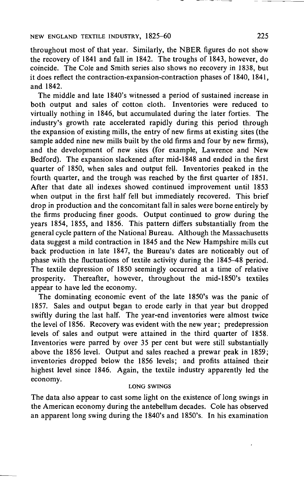throughout most of that year. Similarly, the NBER figures do not show the recovery of 1841 and fall in 1842. The troughs of 1843, however, do coincide. The Cole and Smith series also shows no recovery in 1838, but it does reflect the contraction-expansion-contraction phases of 1840, 1841, and 1842.

The middle and late 1840's witnessed a period of sustained increase in both output and sales of cotton cloth. Inventories were reduced to virtually nothing in 1846, but accumulated during'the later forties. The industry's growth rate accelerated rapidly during this period through the expansion of existing mills, the entry of new firms at existing sites (the sample added nine new mills built by the old firms and four by new firms), and the development of new sites (for example, Lawrence and New Bedford). The expansion slackened after mid-1848 and ended in the first quarter of 1850, when sales and output fell. Inventories peaked in the fourth quarter, and the trough was reached by the first quarter of 1851. After that date all indexes showed continued improvement until 1853 when output in the first half fell but immediately recovered. This brief drop in production and the concomitant fall in sales were borne entirely by the firms producing finer goods. Output continued to grow during the years 1854, 1855, and 1856. This pattern differs substantially from the general cycle pattern of the National Bureau. Although the Massachusetts data suggest a mild contraction in 1845 and the New Hampshire mills cut back production in late 1847, the Bureau's dates are noticeably out of phase with the fluctuations of textile activity during the 1845—48 period. The textile depression of 1850 seemingly occurred at a time of relative prosperity. Thereafter, however, throughout the mid-1850's textiles appear to have led the economy.

The dominating economic event of the late 1850's was the panic of 1857. Sales and output began to erode early in that year but dropped swiftly during the last half. The year-end inventories were almost twice the level of 1856. Recovery was evident with the new year; predepression levels of sales and output were attained in the third quarter of 1858. Inventories were parred by over 35 per cent but were still substantially above the 1856 level. Output and sales reached a prewar peak in 1859; inventories dropped below the 1856 levels; and profits attained their highest level since 1846. Again, the textile industry apparently led the economy.

## LONG SWINGS

The data also appear to cast some light on the existence of long swings in the American economy during the antebellum decades. Cole has observed an apparent long swing during the 1840's and 1850's. In his examination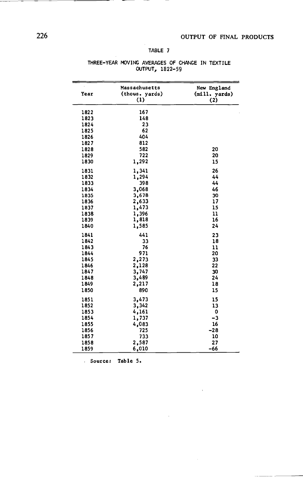## TABLE 7

| Year | Massachusetts<br>(thous. yards)<br>(1) | New England<br>(mill. yards)<br>(2) |
|------|----------------------------------------|-------------------------------------|
| 1822 | 167                                    |                                     |
| 1823 | 148                                    |                                     |
| 1824 | 23                                     |                                     |
| 1825 | 62                                     |                                     |
| 1826 | 404                                    |                                     |
| 1827 | 812                                    |                                     |
| 1828 | 582                                    | 20                                  |
| 1829 | 722                                    | 20                                  |
| 1830 | 1,292                                  | 15                                  |
| 1831 | 1,341                                  | 26                                  |
| 1832 | 1,294                                  | 44                                  |
| 1833 | 398                                    | 44                                  |
| 1834 | 3,068                                  | 46                                  |
| 1835 | 3,678                                  | 30                                  |
| 1836 | 2,633                                  | 17                                  |
| 1837 | 1,473                                  | 15                                  |
| 1838 | 1,396                                  | 11                                  |
| 1839 | 1,818                                  | 16                                  |
| 1840 | 1,585                                  | 24                                  |
| 1841 | 441                                    | 23                                  |
| 1842 | 33                                     | 18                                  |
| 1843 | 76                                     | 11                                  |
| 1844 | 971                                    | 20                                  |
| 1845 | 2,273                                  | 33                                  |
| 1846 | 2,128                                  | 22                                  |
| 1847 | 3,747                                  | 30                                  |
| 1848 | 3,489                                  | 24                                  |
| 1849 | 2,217                                  | 18                                  |
| 1850 | 890                                    | 15                                  |
| 1851 | 3,473                                  | 15                                  |
| 1852 | 3,342                                  | 13                                  |
| 1853 | 4,161                                  | 0                                   |
| 1854 | 1,737                                  | -3                                  |
| 1855 | 4,083                                  | 16                                  |
| 1856 | 725                                    | $-28$                               |
| 1857 | 733                                    | 10                                  |
| 1858 | 2,587                                  | 27                                  |
| 1859 | 6,010                                  | $-66$                               |

 $\mathbf{r}$ 

#### THREE—YEAR MOVING AVERAGES OF CHANGE IN TEXTILE OUTPUT, 1822—59

Source: Table 5.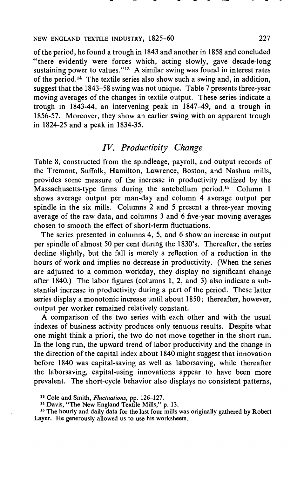of the period, he found a trough in 1843 and another in 1858 and concluded "there evidently were forces which, acting slowly, gave decade-long sustaining power to values."<sup>13</sup> A similar swing was found in interest rates of the period.'4 The textile series also show such a swing and, in addition, suggest that the 1843—58 swing was not unique. Table 7 presents three-year moving averages of the changes in textile output. These series indicate a trough in 1843-44, an intervening peak in 1847—49, and a trough in 1856-57. Moreover, they show an earlier swing with an apparent trough in 1824-25 and a peak in 1834-35.

# IV. Productivity Change

Table 8, constructed from the spindleage, payroll, and output records of the Tremont, Suffolk, Hamilton, Lawrence, Boston, and Nashua mills, provides some measure of the increase in productivity realized by the Massachusetts-type firms during the antebellum period.<sup>15</sup> Column 1 shows average output per man-day and column  $\overline{4}$  average output per spindle in the six mills. Columns 2 and 5 present a three-year moving average of the raw data, and columns  $3$  and  $6$  five-year moving averages chosen to smooth the effect of short-term fluctuations.

The series presented in columns 4, 5, and 6 show an increase in output per spindle of almost 50 per cent during the 1830's. Thereafter, the series decline slightly, but the fall is merely a reflection of a reduction in the hours of work and implies no decrease in productivity. (When the series are adjusted to a common workday, they display no significant change after 1840.) The labor figures (columns 1, 2, and 3) also indicate a substantial increase in productivity during a part of the period. These latter series display a monotonic increase until about 1850; thereafter, however, output per worker remained relatively constant.

A comparison of the two series with each other and with the usual indexes of business activity produces only tenuous results. Despite what one might think a priori, the two do not move together in the short run. In the long run, the upward trend of labor productivity and the change in the direction of the capital index about 1840 might suggest that innovation before 1840 was capital-saving as well as laborsaving, while thereafter the laborsaving, capital-using innovations appear to have been more prevalent. The short-cycle behavior also displays no consistent patterns,

<sup>&</sup>lt;sup>13</sup> Cole and Smith, Fluctuations, pp. 126-127.

<sup>&</sup>lt;sup>14</sup> Davis, "The New England Textile Mills," p. 13.

<sup>&</sup>lt;sup>15</sup> The hourly and daily data for the last four mills was originally gathered by Robert Layer. He generously allowed us to use his worksheets.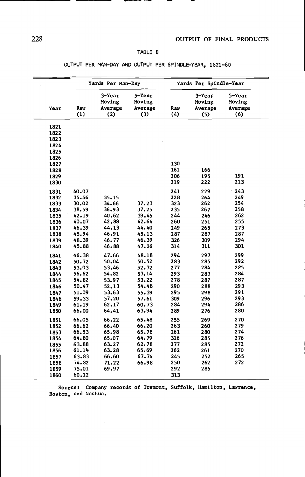## TABLE 8

|      |            | Yards Per Man-Day                  |                                    | Yards Per Spindle-Year |                                    |                                    |  |
|------|------------|------------------------------------|------------------------------------|------------------------|------------------------------------|------------------------------------|--|
| Year | Raw<br>(1) | 3-Year<br>Moving<br>Average<br>(2) | 5-Year<br>Moving<br>Average<br>(3) | Raw<br>(4)             | 3-Year<br>Moving<br>Average<br>(5) | 5-Year<br>Moving<br>Average<br>(6) |  |
| 1821 |            |                                    |                                    |                        |                                    |                                    |  |
| 1822 |            |                                    |                                    |                        |                                    |                                    |  |
| 1823 |            |                                    |                                    |                        |                                    |                                    |  |
| 1824 |            |                                    |                                    |                        |                                    |                                    |  |
| 1825 |            |                                    |                                    |                        |                                    |                                    |  |
| 1826 |            |                                    |                                    |                        |                                    |                                    |  |
| 1827 |            |                                    |                                    | 130                    |                                    |                                    |  |
| 1828 |            |                                    |                                    | 161                    | 166                                |                                    |  |
| 1829 |            |                                    |                                    | 206                    | 195                                | 191                                |  |
| 1830 |            |                                    |                                    | 219                    | 222                                | 213                                |  |
| 1831 | 40.07      |                                    |                                    | 241                    | 229                                | 243                                |  |
| 1832 | 35.56      | 35.15                              |                                    | 228                    | 264                                | 249                                |  |
| 1833 | 30.02      | 34.66                              | 37.23                              | 323                    | 262                                | 254                                |  |
| 1834 | 38.59      | 36.93                              | 37.25                              | 235                    | 267                                | 258                                |  |
| 1835 | 42.19      | 40.62                              | 39.45                              | 244                    | 246                                | 262                                |  |
| 1836 | 40.07      | 42,88                              | 42.64                              | 260                    | 251                                | 255                                |  |
| 1837 | 46.39      | 44.13                              | 44.40                              | 249                    | 265                                | 273                                |  |
| 1838 | 45.94      | 46.91                              | 45.13                              | 287                    | 287                                | 287                                |  |
| 1839 | 48.39      | 46.77                              | 46.39                              | 326                    | 309                                | 294                                |  |
| 1840 | 45.88      | 46.88                              | 47.26                              | 314                    | 311                                | 301                                |  |
| 1841 | 46.38      | 47.66                              | 48.18                              | 294                    | 297                                | 299                                |  |
| 1842 | 50.72      | 50.04                              | 50.52                              | 283                    | 285                                | 292                                |  |
| 1843 | 53.03      | 53.46                              | 52.32                              | 277                    | 284                                | 285                                |  |
| 1844 | 56.62      | 54.82                              | 53,14                              | 293                    | 283                                | 284                                |  |
| 1845 | 54.82      | 53.97                              | 53.22                              | 278                    | 287                                | 287                                |  |
| 1846 | 50.47      | 52.13                              | 54.48                              | 290                    | 288                                | 293                                |  |
| 1847 | 51.09      | 53.63                              | 55.39                              | 295                    | 298                                | 291                                |  |
| 1848 | 59.33      | 57.20                              | 57.61                              | 309                    | 296                                | 293                                |  |
| 1849 | 61.19      | 62.17                              | 60.73                              | 284                    | 294                                | 286                                |  |
| 1850 | 66.00      | 64.41                              | 63.94                              | 289                    | 276                                | 280                                |  |
| 1851 | 66.05      | 66.22                              | 65.48                              | 255                    | 269                                | 270                                |  |
| 1852 | 66.62      | 66.40                              | 66.20                              | 263                    | 260                                | 279                                |  |
| 1853 | 66.53      | 65.98                              | 65.78                              | 261                    | 280                                | 274                                |  |
| 1854 | 64.80      | 65.07                              | 64.79                              | 316                    | 285                                | 276                                |  |
| 1855 | 63.88      | 63.27                              | 62.78                              | 277                    | 285                                | 272                                |  |
| 1856 | 61.14      | 63.28                              | 65.69                              | 262                    | 261                                | 270                                |  |
| 1857 | 63.83      | 66.60                              | 67.74                              | 245                    | 252                                | 265                                |  |
| 1858 | 74.82      | 71.22                              | 66.98                              | 250                    | 262                                | 272                                |  |
| 1859 | 75.01      | 69.97                              |                                    | 292                    | 285                                |                                    |  |
|      |            |                                    |                                    |                        |                                    |                                    |  |

Source: Company records of Tremont. Suffolk, Hamilton, Lawrence, Boston, and Nashua.

 $\ddot{\phantom{a}}$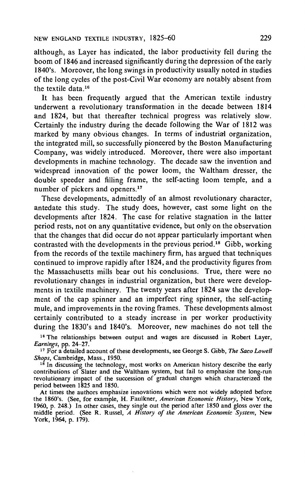although, as Layer has indicated, the labor productivity fell during the boom of 1846 and increased significantly during the depression of the early 1840's. Moreover, the long swings in productivity usually noted in studies of the long cycles of the post-Civil War economy are notably absent from the textile data 16

It has been frequently argued that the American textile industry underwent a revolutionary transformation in the decade between 1814 and 1824, but that thereafter technical progress was relatively slow. Certainly the industry during the decade following the War of 1812 was marked by many obvious changes. In terms of industrial organization, the integrated mill, so successfully pioneered by the Boston Manufacturing Company, was widely introduced. Moreover, there were also important developments in machine technology. The decade saw the invention and widespread innovation of the power loom, the Waltham dresser, the double speeder and filling frame, the self-acting loom temple, and a number of pickers and openers.<sup>17</sup>

These developments, admittedly of an almost revolutionary character, antedate this study. The study does, however, cast some light on the developments after 1824. The case for relative stagnation in the latter period rests, not on any quantitative evidence, but only on the observation that the changes that did occur do not appear particularly important when contrasted with the developments in the previous period.'8 Gibb, working from the records of the textile machinery firm, has argued that techniques continued to improve rapidly after 1824, and the productivity figures from the Massachusetts mills bear out his conclusions. True, there were no revolutionary changes in industrial organization, but there were developments in textile machinery. The twenty years after 1824 saw the development of the cap spinner and an imperfect ring spinner, the self-acting mule, and improvements in the roving frames. These developments almost certainly contributed to a steady increase in per worker productivity during the 1830's and 1840's. Moreover, new machines do not tell the

<sup>16</sup> The relationships between output and wages are discussed in Robert Layer, Earnings, pp. 24—27.

<sup>17</sup> For a detailed account of these developments, see George S. Gibb, The Saco Lowell Shops, Cambridge, Mass., 1950.

<sup>16</sup> In discussing the technology, most works on American history describe the early contributions of Slater and the Waltham system, but fail to emphasize the long-run revolutionary impact of the succession of gradual changes which characterized the period between 1823 and 1850.

At times the authors emphasize innovations which were not widely adopted before the 1860's. (See, for example, H. Faulkner, American Economic History, New York, 1960, p. 248.) In other cases, they single out the period after 1850 and gloss over the middle period. (See R. Russel, A History of the American Economic System, New York, 1964, p. 179).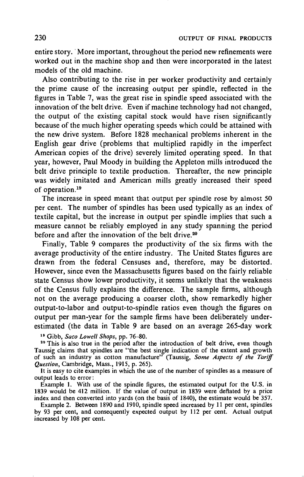entire story. 'More important, throughout the period new refinements were worked out in the machine shop and then were incorporated in the latest models of the old machine.

Also contributing to the rise in per worker productivity and certainly the prime cause of the increasing output per spindle, reflected in the figures in Table 7, was the great rise in spindle speed associated with the innovation of the belt drive. Even if machine technology had not changed, the output of the existing capital stock would have risen significantly because of the much higher operating speeds which could be attained with the new drive system. Before 1828 mechanical problems inherent in the English gear drive (problems that multiplied rapidly in the imperfect American copies of the drive) severely limited operating speed. In that year, however, Paul Moody in building the Appleton mills introduced the belt drive principle to textile production. Thereafter, the new principle was widely imitated and American mills greatly increased their speed of operation.<sup>19</sup>

The increase in speed meant that output per spindle rose by almost 50 per cent. The number of spindles has been used typically as an index of textile capital, but the increase in output per spindle implies that such a measure cannot be reliably employed in any study spanning the period before and after the innovation of the belt drive.<sup>20</sup>

Finally, Table 9 compares the productivity of the six firms with the average productivity of the entire industry. The United States figures are drawn from the federal Censuses and, therefore, may be distorted. However, since even the Massachusetts figures based on the fairly reliable state Census show lower productivity, it seems unlikely that the weakness of the Census fully explains the difference. The sample firms, although not on the average producing a coarser cloth, show remarkedly higher output-to-labor and output-to-spindle ratios even though the figures on output per man-year for the sample firms have been deliberately underestimated (the data in Table 9 are based on an average 265-day work

<sup>19</sup> Gibb, Saco Lowell Shops, pp. 76—80.

<sup>20</sup> This is also true in the period after the introduction of belt drive, even though Taussig claims that spindles are "the best single indication of the extent and growth of such an industry as cotton manufacture<sup>37</sup> (Taussig, Some Aspects of the Tariff Question, Cambridge, Mass., 1915, p. 265).

It is easy to cite examples in which the use of the number of spindles as a measure of output leads to error:

Example 1. With use of the spindle figures, the estimated output for the U.S. in 1839 would be 412 million. If the value of output in 1839 were deflated by a price index and then converted into yards (on the basis of 1840), the estimate would be 357.

Example 2. Between 1890 and 1910, spindle speed increased by 11 per cent, spindles by 93 per cent, and consequently expected output by 112 per cent. Actual output increased by 108 per cent.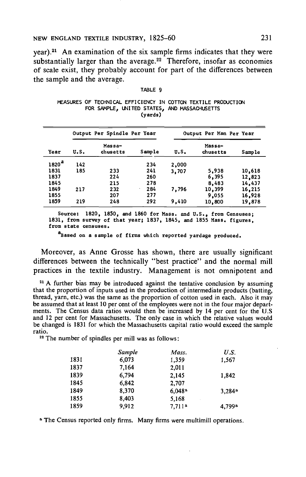## NEW ENGLAND TEXTILE INDUSTRY, 1825—60 231

year).2' An examination of the six sample firms indicates that they were substantially larger than the average.<sup>22</sup> Therefore, insofar as economies of scale exist, they probably account for part of the differences between<br>the sample and the average.<br>TABLE 9<br>MEASURES OF TECHNICAL EFFICIENCY IN COTTON TEXTILE PRODUCTION<br>FOR SAMPLE, UNITED STATES, AND MASSACHUSETTS the sample and the average.

#### TABLE 9

|  |                                              |         |  | MEASURES OF TECHNICAL EFFICIENCY IN COTTON TEXTILE PRODUCTION |  |
|--|----------------------------------------------|---------|--|---------------------------------------------------------------|--|
|  | FOR SAMPLE. UNITED STATES, AND MASSACHUSETTS |         |  |                                                               |  |
|  |                                              | (yards) |  |                                                               |  |

|                   | ,,   |                             |          |       |                         |        |
|-------------------|------|-----------------------------|----------|-------|-------------------------|--------|
|                   |      | Output Per Spindle Per Year |          |       | Output Per Man Per Year |        |
| Year              | U.S. | Massa-<br>chusetts          | Sample   | u.s.  | Massa-<br>chusetts      | Sample |
| 1820 <sup>a</sup> | 142  |                             | 234      | 2,000 |                         |        |
| 1831              | 185  | 233                         | 241      | 3,707 | 5,938                   | 10,618 |
| 1837              |      | 224                         | 260      |       | 6,395                   | 12,823 |
| 1845              |      | 215                         | 278      |       | 8,483                   | 14,437 |
| 1849              | 217  | 232                         | 284<br>٠ | 7,796 | 10,399                  | 16,215 |
| 1855              |      | 207                         | 277      |       | 9,055                   | 16,928 |
| 1859              | 219  | 248                         | 292      | 9,410 | 10,800                  | 19,878 |

Source: 1820, 1850, and 1860 for Mass, and U.S., from Censuses; 1831, from survey of that year; 1837, 1845, and 1855 Mass. figures, from state censuses.

<sup>8</sup>Based on a sample of firms which reported yardage produced.

Moreover, as Anne Grosse has shown, there are usually significant differences between the technically "best practice" and the normal mill practices in the textile industry. Management is not omnipotent and

<sup>21</sup> A further bias may be introduced against the tentative conclusion by assuming that the proportion of inputs used in the production of intermediate products (batting, thread, yarn, etc.) was the same as the proportion of cotton used in each. Also it may be assumed that at least 10 per cent of the employees were not in the four major departments. The Census data ratios would then be increased by 14 per cent for the U.S and 12 per cent for Massachusetts. The only case in which the relative values would be changed is 1831 for which the Massachusetts capital ratio would exceed the sample ratio.

<sup>22</sup> The number of spindles per mill was as follows:

|      | Sample | Mass.              | U.S.                 |
|------|--------|--------------------|----------------------|
| 1831 | 6,073  | 1.359              | 1,567                |
| 1837 | 7,164  | 2.011              |                      |
| 1839 | 6.794  | 2,145              | 1,842                |
| 1845 | 6.842  | 2,707              |                      |
| 1849 | 8,370  | 6.048 <sup>a</sup> | $3,284$ <sup>a</sup> |
| 1855 | 8.403  | 5,168              |                      |
| 1859 | 9.912  | 7,711 <sup>a</sup> | 4,799 <sup>a</sup>   |

a The Census reported only firms. Many firms were multimill operations.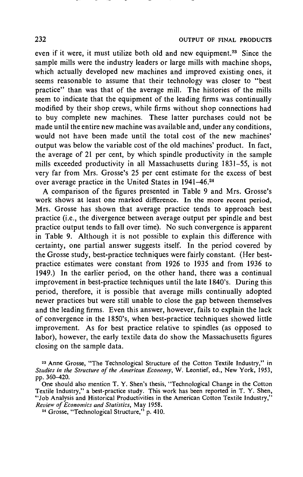even if it were, it must utilize both old and new equipment.<sup>23</sup> Since the sample mills were the industry leaders or large mills with machine shops, which actually developed new machines and improved existing ones, it seems reasonable to assume that their technology was closer to "best practice" than was that of the average mill. The histories of the mills seem to indicate that the equipment of the leading firms was continually modified by their shop crews, while firms without shop connections had to buy complete new machines. These latter purchases could not be made until the entire new machine was available and, under any conditions, would not have been made until the total cost of the new machines' output was below the variable cost of the old machines' product. In fact, the average of 21 per cent, by which spindle productivity in the sample mills exceeded productivity in all Massachusetts during 1831—55, is not very far from Mrs. Grosse's 25 per cent estimate for the excess of best over average practice in the United States in 1941–46.<sup>24</sup>

A comparison of the figures presented in Table 9 and Mrs. Grosse's work shows at least one marked difference. In the more recent period, Mrs. Grosse has shown that average practice tends to approach best practice (i.e., the divergence between average output per spindle and best practice output tends to fall over time). No such convergence is apparent in Table 9. Although it is not possible to explain this difference with certainty, one partial answer suggests itself. In the period covered by the Grosse study, best-practice techniques were fairly constant. (Her bestpractice estimates were constant from 1926 to 1935 and from 1936 to 1949.) In the earlier period, on the other hand, there was a continual improvement in best-practice techniques until the late 1840's. During this period, therefore, it is possible that average mills continually adopted newer practices but were still unable to close the gap between themselves and the leading firms. Even this answer, however, fails to explain the lack of convergence in the 1850's, when best-practice techniques showed little improvement. As for best practice relative to spindles (as opposed to labor), however, the early textile data do show the Massachusetts figures closing on the sample data.

<sup>23</sup> Anne Grosse, "The Technological Structure of the Cotton Textile Industry," in Studies in the Structure of the American Economy, W. Leontief, ed., New York, 1953, pp. 360—420.

One should also mention T. Y. Shen's thesis, "Technological Change in the Cotton Textile Industry," a best-practice study. This work has been reported in T. Y. Shen, "Job Analysis and Historical Productivities in the American Cotton Textile Industry," Review of Economics and Statistics, May 1958.

<sup>&</sup>lt;sup>24</sup> Grosse, "Technological Structure," p. 410.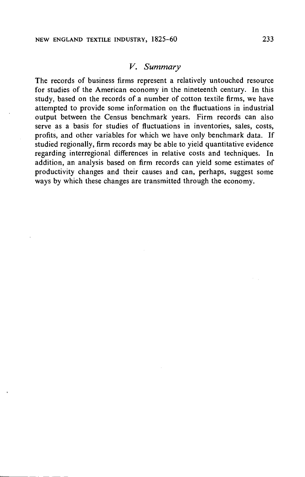## V. Summary

The records of business firms represent a relatively untouched resource for studies of the American economy in the nineteenth century. In this study, based on the records of a number of cotton textile firms, we have attempted to provide some information on the fluctuations in industrial output between the Census benchmark years. Firm records can also serve as a basis for studies of fluctuations in inventories, sales, costs, profits, and other variables for which we have only benchmark data. If studied regionally, firm records may be able to yield quantitative evidence regarding interregional differences in relative costs and techniques. In addition, an analysis based on firm records can yield some estimates of productivity changes and their causes and can, perhaps, suggest some ways by which these changes are transmitted through the economy.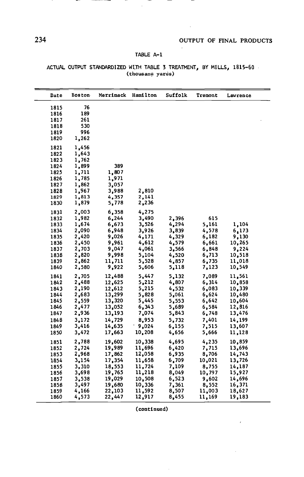$\mathcal{L}$ 

## TABLE A—i

 $\hat{\mathcal{A}}$ 

| Date | <b>Boston</b> | Merrimack | Hamilton | <b>Suffolk</b> | Tremont | Lawrence |
|------|---------------|-----------|----------|----------------|---------|----------|
|      |               |           |          |                |         |          |
| 1815 | 76            |           |          |                |         |          |
| 1816 | 189           |           |          |                |         |          |
| 1817 | 261           |           |          |                |         |          |
| 1818 | 530           |           |          |                |         |          |
| 1819 | 996           |           |          |                |         |          |
| 1820 | 1,262         |           |          |                |         |          |
| 1821 | 1,456         |           |          |                |         |          |
| 1822 | 1,643         |           |          |                |         |          |
| 1823 | 1,762         |           |          |                |         |          |
| 1824 | 1,899         | 389       |          |                |         |          |
| 1825 | 1,711         | 1,807     |          |                |         |          |
| 1826 | 1,785         | 1,971     |          |                |         |          |
| 1827 | 1,862         | 3,057     |          |                |         |          |
| 1828 | 1,967         | 3,988     | 2,810    |                |         |          |
| 1829 | 1,813         | 4,357     | 2,141    |                |         |          |
| 1830 | 1,879         | 5,778     | 2,236    |                |         |          |
| 1831 | 2,003         | 6,358     | 4,275    |                |         |          |
| 1832 | 1,982         | 6,244     | 3,490    | 2,396          | 615     |          |
| 1833 | 1,674         | 6,673     | 3,526    | 4,294          | 5,161   | 1,104    |
| 1834 | 2,090         | 6,948     | 3,926    | 3,839          | 4,578   | 6,173    |
| 1835 | 2,420         | 9,026     | 4,171    | 4,329          | 6,182   | 9,130    |
| 1836 | 2,450         | 9,961     | 4,612    | 4,579          | 6,661   | 10,265   |
| 1837 | 2,703         | 9,047     | 4,061    | 3,566          | 6,848   | 9,224    |
| 1838 | 2,820         | 9,998     | 5,104    | 4,520          | 6,713   | 10,518   |
| 1839 | 2,862         | 11,711    | 5,528    | 4,857          | 6,735   | 11,018   |
| 1840 | 2,580         | 9,922     | 5,606    | 5,118          | 7,123   | 10,549   |
| 1841 | 2,705         | 12,488    | 5,447    | 5,132          | 7,089   | 11,561   |
| 1842 | 2,488         | 12,625    | 5,212    | 4,807          | 6,314   | 10,858   |
| 1843 | 2,190         | 12,612    | 5,215    | 4,532          | 6,083   | 10,339   |
| 1844 | 2,683         | 13,299    | 5,828    | 5,061          | 6,624   | 10,480   |
| 1845 | 2,559         | 13,320    | 5,445    | 5,553          | 6,642   | 10,604   |
| 1846 | 2,477         | 13,052    | 6,343    | 5,689          | 6,584   | 12,816   |
| 1847 | 2,936         | 13,193    | 7,074    | 5,843          | 6,748   | 13,476   |
| 1848 | 3,172         | 14,729    | 8,953    | 5,732          | 7,401   | 14,199   |
| 1849 | 3,416         | 14,635    | 9,024    | 6,155          | 7,515   | 13,607   |
| 1850 | 3,472         | 17,663    | 10,208   | 4,656          | 5,666   | 11,128   |
| 1851 | 2,788         | 19,602    | 10,338   | 4,695          | 4,235   | 10,859   |
| 1852 | 2,724         | 19,989    | 11,696   | 6,420          | 7,715   | 13,696   |
| 1853 | 2,968         | 17,862    | 12,058   | 6,935          | 8,706   | 14,743   |
| 1854 | 3,154         | 17,354    | 11,658   | 6,709          | 10,021  | 13,726   |
| 1855 | 3,310         | 18,553    | 11,724   | 7,109          | 8,755   | 14,187   |
| 1856 | 3,698         | 19,765    | 11,218   | 8,049          | 10,797  | 15,927   |
| 1857 | 3,538         | 19,029    | 10,508   | 6,523          | 9,602   | 14,696   |
| 1858 | 3,497         | 19,680    | 10,336   | 7,361          | 8,552   | 16,371   |
| 1859 | 4,166         | 22,103    | 11,592   | 8,507          | 11,003  | 18,627   |
| 1860 | 4,573         | 22,447    | 12,917   | 8,455          | 11,169  | 19,183   |

(continued)

<u>—</u>

⇁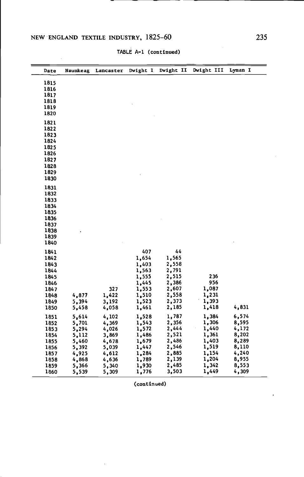$\epsilon$ 

| Date | Naumkeag | Lancaster | Dwight I       | Dwight II      | Dwight III | Lyman I |
|------|----------|-----------|----------------|----------------|------------|---------|
| 1815 |          |           |                |                |            |         |
|      |          |           |                |                |            |         |
| 1816 |          |           |                |                |            |         |
| 1817 |          |           |                |                |            |         |
| 1818 |          |           |                |                |            |         |
| 1819 |          |           |                |                |            |         |
| 1820 |          |           |                |                |            |         |
| 1821 |          |           |                |                |            |         |
| 1822 |          |           |                |                |            |         |
| 1823 |          |           |                |                |            |         |
| 1824 |          |           |                |                |            |         |
| 1825 |          |           |                |                |            |         |
| 1826 |          |           |                |                |            |         |
| 1827 |          |           |                |                |            |         |
| 1828 |          |           |                |                |            |         |
| 1829 |          |           |                |                |            |         |
| 1830 |          |           |                |                |            |         |
|      |          |           |                |                |            |         |
| 1831 |          |           |                |                |            |         |
| 1832 |          |           |                |                |            |         |
| 1833 |          |           |                |                |            |         |
| 1834 |          |           |                |                |            |         |
| 1835 |          |           |                |                |            |         |
| 1836 |          |           |                |                |            |         |
| 1837 |          |           |                |                |            |         |
| 1838 |          |           |                |                |            |         |
| 1839 |          |           |                |                |            |         |
| 1840 |          |           |                |                |            |         |
| 1841 |          |           | 407            | 44             |            |         |
| 1842 |          |           | 1,654          | 1,565          |            |         |
| 1843 |          |           | 1,403          | 2,558          |            |         |
| 1844 |          |           | 1,563          | 2,791          |            |         |
| 1845 |          |           | 1,555          | 2,515          | 236        |         |
| 1846 |          |           | 1,445          | 2,386          | 956        |         |
| 1847 |          | 327       | 1,553          | 2,607          | 1,087      |         |
| 1848 | 4,877    | 1,422     | 1,510          | 2,558          | 1,231      |         |
| 1849 | 5,394    | 3,192     | 1,523          | 2,373          | 1,393      |         |
| 1850 | 5,458    | 4,058     | 1,461          | 2,185          | 1,418      | 4,831   |
|      |          |           |                |                |            |         |
| 1851 | 5,614    | 4,102     | 1,528          | 1,787          | 1,384      | 6,574   |
| 1852 | 5,701    | 4,369     | 1,543          | 2,356          | 1,306      | 8,595   |
| 1853 | 5,294    | 4,026     | 1,572          | 2,444          | 1,440      | 4,172   |
| 1854 | 5,112    | 3,869     | 1,486          | 2,521          | 1,361      | 8,202   |
| 1855 | 5,460    | 4,678     | 1,679          | 2,486          | 1,403      | 8,289   |
| 1856 | 5,392    | 5,039     | 1,447          | 2,546          | 1,519      | 8,110   |
| 1857 | 4,925    | 4,612     | 1,284          | 2,885          | 1,154      | 4,240   |
| 1858 | 4,868    | 4,636     | 1,789          | 2,139          | 1,204      | 8,955   |
| 1859 | 5,366    | 5,340     | 1,930<br>1,776 | 2,485<br>3,503 | 1,342      | 8,553   |
| 1860 | 5,539    | 5,309     |                |                | 1,449      | 4,309   |

TABLE A—i (continued)

(continued)

 $\ddot{\phantom{a}}$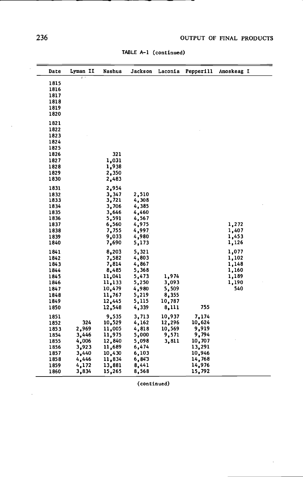¥,

| 236          |          |                  | TABLE A-1 (continued) |                 |           | OUTPUT OF FINAL PRODUCTS |
|--------------|----------|------------------|-----------------------|-----------------|-----------|--------------------------|
| Date         | Lyman II | Nashua           | Jackson               | Laconia         | Pepperill | Amoskeag I               |
|              | Ŧ        |                  |                       |                 |           |                          |
| 1815         |          |                  |                       |                 |           |                          |
| 1816         |          |                  |                       |                 |           |                          |
| 1817<br>1818 |          |                  |                       |                 |           |                          |
| 1819         |          |                  |                       |                 |           |                          |
| 1820         |          |                  |                       |                 |           |                          |
| 1821         |          |                  |                       |                 |           |                          |
| 1822         |          |                  |                       |                 |           |                          |
| 1823         |          |                  |                       |                 |           |                          |
| 1824         |          |                  |                       |                 |           |                          |
| 1825         |          |                  |                       |                 |           |                          |
| 1826         |          | 321              |                       |                 |           |                          |
| 1827         |          | 1,031            |                       |                 |           |                          |
| 1828         |          | 1,938            |                       |                 |           |                          |
| 1829         |          | 2,350            |                       |                 |           |                          |
| 1830         |          | 2,483            |                       |                 |           |                          |
| 1831         |          | 2,954            |                       |                 |           |                          |
| 1832         |          | 3,347            | 2,510                 |                 |           |                          |
| 1833<br>1834 |          | 3,721<br>3,706   | 4,308<br>4,385        |                 |           |                          |
| 1835         |          | 3,646            | 4,460                 |                 |           |                          |
| 1836         |          | 5,591            | 4,567                 |                 |           |                          |
| 1837         |          | 6,560            | 4,975                 |                 |           | 1,272                    |
| 1838         |          | 7,755            | 4,997                 |                 |           | 1,407                    |
| 1839         |          | 9,033            | 4,980                 |                 |           | 1,453                    |
| 1840         |          | 7,690            | 5,173                 |                 |           | 1,126                    |
| 1841         |          | 8,203            | 5,321                 |                 |           | 1,077                    |
| 1842         |          | 7,582            | 4,803                 |                 |           | 1,102                    |
| 1843         |          | 7,814            | 4,867                 |                 |           | 1,148                    |
| 1844         |          | 8,485            | 5,368                 |                 |           | 1,160                    |
| 1845         |          | 11,041           | 5,473                 | 1,974           |           | 1,189                    |
| 1846         |          | 11,133           | 5,250                 | 3,093           |           | 1,190                    |
| 1847         |          | 10,479           | 4,980                 | 5,509           |           | 540                      |
| 1848<br>1849 |          | 11,767<br>12,445 | 5,219<br>5,115        | 8,355<br>10,787 |           |                          |
| 1850         |          | 12,548           | 4,339                 | 8,111           | 755       |                          |
| 1851         |          | 9,535            | 3,713                 | 10,937          | 7.174     |                          |
| 1852         | 324      | 10,529           | 4,162                 | 12,296          | 10,624    |                          |
| 1853         | 2,969    | 11,005           | 4,818                 | 10,569          | 9,919     |                          |
| 1854         | 3,446    | 11,975           | 5,000                 | 9,571           | 9,794     |                          |
| 1855         | 4,006    | 12,840           | 5,098                 | 3,811           | 10,707    |                          |
| 1856         | 3,923    | 11,689           | 6,474                 |                 | 13,291    |                          |
| 1857         | 3,440    | 10,430           | 6,103                 |                 | 10,946    |                          |
| 1858         | 4,446    | 11,834           | 6,843                 |                 | 14,768    |                          |
| 1859         | 4,172    | 13,881           | 8,441                 |                 | 14,976    |                          |
| 1860         | 3,834    | 15,265           | 8,568                 |                 | 15,792    |                          |

TABLE A—i (continued)

(continued)

 $\overline{\phantom{a}}$ 

ł,

 $\ddot{\phantom{1}}$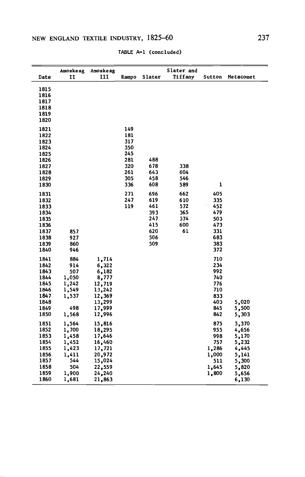|              | TABLE A-1 (concluded) |                |       |            |            |            |           |  |  |
|--------------|-----------------------|----------------|-------|------------|------------|------------|-----------|--|--|
|              | Amoskeag              | Amoskeag       |       |            | Slater and |            |           |  |  |
| Date         | п                     | ш              | Rampo | Slater     | Tiffany    | Sutton     | Metacomet |  |  |
| 1815         |                       |                |       |            |            |            |           |  |  |
| 1816         |                       |                |       |            |            |            |           |  |  |
| 1817         |                       |                |       |            |            |            |           |  |  |
| 1818         |                       |                |       |            |            |            |           |  |  |
| 1819         |                       |                |       |            |            |            |           |  |  |
| 1820         |                       |                |       |            |            |            |           |  |  |
| 1821         |                       |                | 149   |            |            |            |           |  |  |
| 1822         |                       |                | 181   |            |            |            |           |  |  |
| 1823         |                       |                | 317   |            |            |            |           |  |  |
| 1824         |                       |                | 350   |            |            |            |           |  |  |
| 1825         |                       |                | 245   |            |            |            |           |  |  |
| 1826         |                       |                | 281   | 488        |            |            |           |  |  |
| 1827         |                       |                | 320   | 678        | 338        |            |           |  |  |
| 1828         |                       |                | 261   | 643        | 604        |            |           |  |  |
| 1829         |                       |                | 305   | 458        | 546        |            |           |  |  |
| 1830         |                       |                | 336   | 608        | 589        | ı          |           |  |  |
| 1831         |                       |                | 271   | 696        | 662        | 405        |           |  |  |
| 1832         |                       |                | 247   | 619        | 610        | 335        |           |  |  |
| 1833         |                       |                | 119   | 461        | 572        | 452        |           |  |  |
| 1834         |                       |                |       | 393        | 365        | 479        |           |  |  |
| 1835         |                       |                |       | 247        | 374        | 503        |           |  |  |
| 1836         |                       |                |       | 415        | 600        | 473        |           |  |  |
| 1837         | 857                   |                |       | 620        | 61         | 331        |           |  |  |
| 1838         | 927<br>860            |                |       | 506<br>509 |            | 683<br>383 |           |  |  |
| 1839<br>1840 | 946                   |                |       |            |            | 372        |           |  |  |
|              |                       |                |       |            |            |            |           |  |  |
| 1841         | 884                   | 1,714          |       |            |            | 710        |           |  |  |
| 1842         | 914                   | 6,322          |       |            |            | 234<br>992 |           |  |  |
| 1843<br>1844 | 507<br>1,050          | 6,182<br>8,777 |       |            |            | 740        |           |  |  |
| 1845         | 1,242                 | 12,719         |       |            |            | 776        |           |  |  |
| 1846         | 1,549                 | 13,242         |       |            |            | 710        |           |  |  |
| 1847         | 1,537                 | 12,369         |       |            |            | 833        |           |  |  |
| 1848         |                       | 13,299         |       |            |            | 403        | 5,020     |  |  |
| 1849         | 498                   | 17,999         |       |            |            | 845        | 5,500     |  |  |
| 1850         | 1,568                 | 12,996         |       |            |            | 842        | 5,303     |  |  |
| 1851         | 1,564                 | 15,816         |       |            |            | 875        | 3,370     |  |  |
| 1852         | 1,700                 | 18,295         |       |            |            | 955        | 4,656     |  |  |
| 1853         | 1,458                 | 17,646         |       |            |            | 998        | 5,170     |  |  |
| 1854         | 1,452                 | 16,460         |       |            |            | 757        | 5,232     |  |  |
| 1855         | 1,423                 | 17,721         |       |            |            | 1,286      | 4,445     |  |  |
| 1856         | 1,411                 | 20,972         |       |            |            | 1,000      | 5,141     |  |  |
| 1857         | 544                   | 15,024         |       |            |            | 511        | 5,300     |  |  |
| 1858         | 504                   | 22,559         |       |            |            | 1,645      | 5,820     |  |  |
| 1859         | 1,900                 | 24,240         |       |            |            | 1,800      | 5,656     |  |  |
| 1860         | 1,681                 | 21,863         |       |            |            |            | 6,130     |  |  |

TABLE A—i (concluded)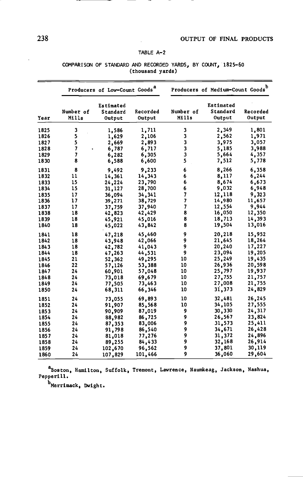### TABLE A—2

|      |                    | Producers of Low-Count Goods <sup>a</sup> |                    | Producers of Medium-Count Goods <sup>b</sup> |                                 |                    |  |  |
|------|--------------------|-------------------------------------------|--------------------|----------------------------------------------|---------------------------------|--------------------|--|--|
| Year | Number of<br>Mills | Estimated<br>Standard<br>Output           | Recorded<br>Output | Number of<br>Mills                           | Estimated<br>Standard<br>Output | Recorded<br>Output |  |  |
| 1825 | 3                  | 1,586                                     | 1,711              | 3                                            | 2,349                           | 1,801              |  |  |
| 1826 | 5                  | 1,629                                     | 2,106              | 3                                            | 2,562                           | 1,971              |  |  |
| 1827 | 5                  | 2,669                                     | 2,893              | 3                                            | 3,975                           | 3,057              |  |  |
| 1828 | 7                  | 6,787                                     | 6,717              | 3                                            | 5,185                           | 3,988              |  |  |
| 1829 | 7                  | 6,282                                     | 6,305              | 3                                            | 5,664                           | 4,357              |  |  |
| 1830 | 8                  | 6,588                                     | 6,600              | 5                                            | 7,512                           | 5,778              |  |  |
| 1831 | 8                  | 9,492                                     | 9,233              | 6                                            | 8,266                           | 6,358              |  |  |
| 1832 | 11                 | 14,361                                    | 14,343             | 6                                            | 8,117                           | 6,244              |  |  |
| 1833 | 15                 | 24,224                                    | 23,790             | 6                                            | 8,674                           | 6,673              |  |  |
| 1834 | 15                 | 31,127                                    | 28,700             | 6                                            | 9,032                           | 6,948              |  |  |
| 1835 | 17                 | 36,094                                    | 34,341             | 7                                            | 12,118                          | 9,323              |  |  |
| 1836 | 17                 | 39,271                                    | 38,729             | 7                                            | 14,980                          | 11,657             |  |  |
| 1837 | 17                 | 37,759                                    | 37,940             | 7                                            | 12,554                          | 9.944              |  |  |
| 1838 | 18                 | 42,823                                    | 42,429             | 8                                            | 16,050                          | 12,350             |  |  |
| 1839 | 18                 | 45,921                                    | 45,016             | 8                                            | 18,713                          | 14,393             |  |  |
| 1840 | 18                 | 45,022                                    | 43,842             | 8                                            | 19,504                          | 13,016             |  |  |
| 1841 | 18                 | 47,218                                    | 45,460             | 9                                            | 20,218                          | 15,952             |  |  |
| 1842 | 18                 | 43,948                                    | 42,066             | 9                                            | 21,645                          | 18,264             |  |  |
| 1843 | 18                 | 42,782                                    | 41,043             | 9                                            | 20,240                          | 17,227             |  |  |
| 1844 | 18                 | 47,263                                    | 44,531             | 9                                            | 23,094                          | 19,205             |  |  |
| 1845 | 21                 | 52,362                                    | 49,295             | 10                                           | 25,249                          | 19,435             |  |  |
| 1846 | 22                 | 57,126                                    | 53,388             | 10                                           | 26,936                          | 20,598             |  |  |
| 1847 | 24                 | 60,901                                    | 57,048             | 10                                           | 25,797                          | 19,937             |  |  |
| 1848 | 24                 | 73,018                                    | 69,679             | 10                                           | 27,755                          | 21,757             |  |  |
| 1849 | 24                 | 77,505                                    | 73,463             | 10                                           | 27,008                          | 21,755             |  |  |
| 1850 | 24                 | 68,311                                    | 66,346             | 10                                           | 31,373                          | 24,829             |  |  |
| 1851 | 24                 | 73.055                                    | 69,893             | 10                                           | 32,481                          | 26,245             |  |  |
| 1852 | 24                 | 91,907                                    | 85,568             | 10                                           | 34,105                          | 27,555             |  |  |
| 1853 | 24                 | 90,909                                    | 87,019             | 9                                            | 30,330                          | 24,317             |  |  |
| 1854 | 24                 | 88,982                                    | 86,725             | 9                                            | 26,567                          | 23,824             |  |  |
| 1855 | 24                 | 87,353                                    | 83,006             | 9                                            | 31,573                          | 25,411             |  |  |
| 1856 | 24                 | 91,798                                    | 86,540             | 9                                            | 34,671                          | 26,428             |  |  |
| 1857 | 24                 | 81,018                                    | 77,276             | 9                                            | 31,372                          | 24,896             |  |  |
| 1858 | 24                 | 89,255                                    | 84,433             | 9                                            | 32,168                          | 26,914             |  |  |
| 1859 | 24                 | 102,670                                   | 96,562             | 9                                            | 37,801                          | 30,119             |  |  |
| 1860 | 24                 | 107,829                                   | 101,466            | 9                                            | 36,060                          | 29,604             |  |  |

#### COMPARISON OF STANDARD AND RECORDED YARDS, BY COUNT, 182 5—60 (thousand yards)

aBoston, Hamilton, Suffolk, Tremont, Lawrence, Naumkeag, Jackson, Nashua, Pepperill.

 $^{\rm b}$ Merrimack, Dwight.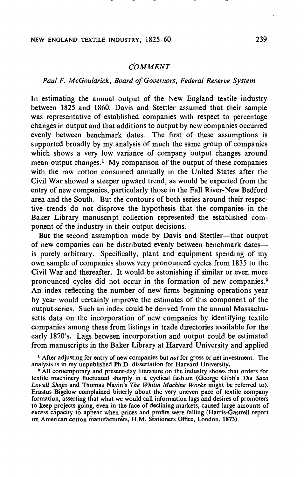## NEW ENGLAND TEXTILE INDUSTRY, 1825—60 239

## COMMENT

## Paul F. McGouldrick, Board of Governors, Federal Reserve System

In estimating the annual output of the New England textile industry between 1825 and 1860, Davis and Stettler assumed that their sample was representative of established companies with respect to percentage changes in output and that additions to output by new companies occurred evenly between benchmark dates. The first of these assumptions is supported broadly by my analysis of much the same group of companies which shows a very low variance of company output changes around mean output changes.' My comparison of the output of these companies with the raw cotton consumed annually in the United States after the Civil War showed a steeper upward trend, as would be expected from the entry of new companies, particularly those in the Fall River-New Bedford area and the South. But the contours of both series around their respective trends do not disprove the hypothesis that the companies in the Baker Library manuscript collection represented the established component of the industry in their output decisions.

But the second assumption made by Davis and Stettler—that output of new companies can be distributed evenly between benchmark datesis purely arbitrary. Specifically, plant and equipment spending of my own sample of companies shows very pronounced cycles from 1835 to the Civil War and thereafter. It would be astonishing if similar or even more pronounced cycles did not occur in the formation of new companies.<sup>2</sup> An index reflecting the number of new firms beginning operations year by year would certainly improve the estimates of this component of the output series. Such an index could be derived from the annual Massachusetts data on the incorporation of new companies by identifying textile companies among these from listings in trade directories available for the early 1870's. Lags between incorporation and output could be estimated from manuscripts in the Baker Library at Harvard University and applied

<sup>1</sup> After adjusting for entry of new companies but not for gross or net investment. The analysis is in my unpublished Ph.D. dissertation for Harvard University.

<sup>2</sup> All contemporary and present-day literature on the industry shows that orders for textile machinery fluctuated sharply in a cyclical fashion (George Gibb's The Saco Lowell Shops and Thomas Navin's The Whitin Machine Works might be referred to). Erastus Bigelow complained bitterly about the very uneven pace of textile company formation, asserting that what we would call information lags and desires of promoters to keep projects going, even in the face of declining markets, caused large amounts of excess capacity to appear when prices and profits were falling (Harris-Gastrell report on American cotton manufacturers, H.M. Stationers Office, London, 1873).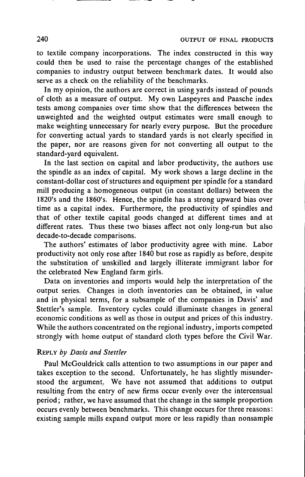to textile company incorporations. The index constructed in this way could then be used to raise the percentage changes of the established companies to industry output between benchmark dates. It would also serve as a check on the reliability of the benchmarks.

In my opinion, the authors are correct in using yards instead of pounds of cloth as a measure of output. My own Laspeyres and Paasche index tests among companies over time show that the differences between the unweighted and the weighted output estimates were small enough to make weighting unnecessary for nearly every purpose. But the procedure for converting actual yards to standard yards is not clearly specified in the paper, nor are reasons given for not converting all output to the standard-yard equivalent.

In the last section on capital and labor productivity, the authors use the spindle as an index of capital. My work shows a large decline in the constant-dollar cost of structures and equipment per spindle for a standard mill producing a homogeneous output (in constant dollars) between the 1820's and the 1860's. Hence, the spindle has a strong upward bias over time as a capital index. Furthermore, the productivity of spindles and that of other textile capital goods changed at different times and at different rates. Thus these two biases affect not only long-run but also decade-to-decade comparisons.

The authors' estimates of labor productivity agree with mine. Labor productivity not only rose after 1840 but rose as rapidly as before, despite the substitution of unskilled and largely illiterate immigrant labor for the celebrated New England farm girls.

Data on inventories and imports would help the interpretation of the output series. Changes in cloth inventories can be obtained, in value and in physical terms, for a subsample of the companies in Davis' and Stettler's sample. Inventory cycles could illuminate changes in general economic conditions as well as those in output and prices of this industry. While the authors concentrated on the regional industry, imports competed strongly with home output of standard cloth types before the Civil War.

## REPLY by Davis and Stettler

Paul McGouldrick calls attention to two assumptions in our paper and takes exception to the second. Unfortunately, he has slightly misunderstood the argument. We have not assumed that additions to output resulting from the entry of new firms occur evenly over the intercensual period; rather, we have assumed that the change in the sample proportion occurs evenly between benchmarks. This change occurs for three reasons: existing sample mills expand output more or less rapidly than nonsample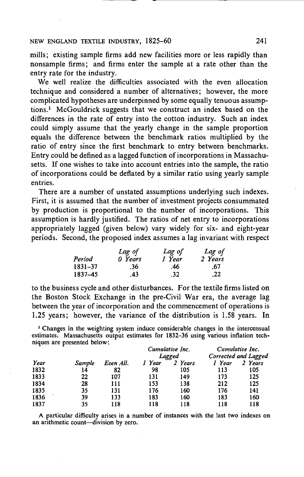mills; existing sample firms add new facilities more or less rapidly than nonsample firms; and firms enter the sample at a rate other than the entry rate for the industry.

We well realize the difficulties associated with the even allocation technique and considered a number of alternatives; however, the more complicated hypotheses are underpinned by some equally tenuous assumptions.1 McGouldrick suggests that we construct an index based on the differences in the rate of entry into the cotton industry. Such an index could simply assume that the yearly change in the sample proportion equals the difference between the benchmark ratios multiplied by the ratio of entry since the first benchmark to entry between benchmarks. Entry could be defined as a lagged function of incorporations in Massachusetts. If one wishes to take into account entries into the sample, the ratio of incorporations could be deflated by a similar ratio using yearly sample entries.

There are a number of unstated assumptions underlying such indexes. First, it is assumed that the number of investment projects consummated by production is proportional to the number of incorporations. This assumption is hardly justified. The ratios of net entry to incorporations appropriately lagged (given below) vary widely for six- and eight-year periods. Second, the proposed index assumes a lag invariant with respect

|         | Lag of  | Lag of | Lag of  |  |
|---------|---------|--------|---------|--|
| Period  | 0 Years | 1 Year | 2 Years |  |
| 1831-37 | .36     | .46    | .67     |  |
| 1837-45 | .43     | .32    | .22     |  |

to the business cycle and other disturbances. For the textile firms listed on the Boston Stock Exchange in the pre-Civil War era, the average lag between the year of incorporation and the commencement of operations is 1.25 years; however, the variance of the distribution is 1.58 years. In

<sup>1</sup> Changes in the weighting system induce considerable changes in the intercensual niques are presented below:

|      |               |           |        | Cumulative Inc.   | Cumulative Inc.<br>Corrected and Lagged |         |  |
|------|---------------|-----------|--------|-------------------|-----------------------------------------|---------|--|
| Year | <b>Sample</b> | Even All. | 1 Year | Lagged<br>2 Years | 1 Year                                  | 2 Years |  |
| 1832 | 14            | 82        | 98     | 105               | 113                                     | 105     |  |
| 1833 | 22            | 107       | 131    | 149               | 173                                     | 125     |  |
| 1834 | 28            | 111       | 153    | 138               | 212                                     | 125     |  |
| 1835 | 35            | 131       | 176    | 160               | 176                                     | 141     |  |
| 1836 | 39            | 133       | 183    | 160               | 183                                     | 160     |  |
| 1837 | 35            | 118       | 118    | 118               | 118                                     | 118     |  |

an arithmetic count—division by zero.